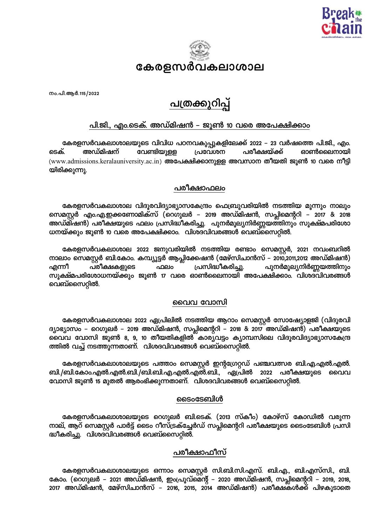



നം.പി.ആർ.115/2022

# പത്രക്കുറിപ്പ്

## <u>പി.ജി., എം.ടെക്. അഡ്മിഷൻ – ജൂൺ 10 വരെ അപേക്ഷിക്കാം</u>

കേരളസർവകലാശാലയുടെ വിവിധ പഠനവകുപ്പുകളിലേക്ക് 2022 – 23 വർഷത്തെ പി.ജി., എം. വേണ്ടിയുള്ള പരീക്ഷയ്ക്ക് ടെക്. അഡ്മിഷന് പ്രവേശന ഓൺലൈനായി (www.admissions.keralauniversity.ac.in) അപേക്ഷിക്കാനുള്ള അവസാന തീയതി ജൂൺ 10 വരെ നീട്ടി യിരിക്കുന്നു.

#### പരീക്ഷാഫലം

കേരളസർവകലാശാല വിദൂരവിദ്യാഭ്യാസകേന്ദ്രം ഫെബ്രുവരിയിൽ നടത്തിയ മൂന്നും നാലും സെമസ്റ്റർ എം.എ.ഇക്കണോമിക്സ് (റെഗുലർ – 2019 അഡ്മിഷൻ, സപ്ലിമെന്ററി – 2017 & 2018 അഡ്മിഷൻ) പരീക്ഷയുടെ ഫലം പ്രസിദ്ധീകരിച്ചു. പുനർമൂല്യനിർണ്ണയത്തിനും സൂക്ഷ്മപരിശോ ധനയ്ക്കും ജൂൺ 10 വരെ അപേക്ഷിക്കാം. വിശദവിവരങ്ങൾ വെബ്സൈറ്റിൽ.

കേരളസർവകലാശാല 2022 ജനുവരിയിൽ നടത്തിയ രണ്ടാം സെമസ്റ്റർ, 2021 നവംബറിൽ നാലാം സെമസ്റ്റർ ബി.കോം. കമ്പ്യൂട്ടർ ആപ്ലിക്കേഷൻ (മേഴ്സിചാൻസ് – 2010,2011,2012 അഡ്മിഷൻ) പരീക്ഷകളുടെ ഫലം പ്രസിദ്ധീകരിച്ചു. പുനർമൂല്യനിർണ്ണയത്തിനും എന്നീ സൂക്ഷ്മപരിശോധനയ്ക്കും ജൂൺ 17 വരെ ഓൺലൈനായി അപേക്ഷിക്കാം. വിശദവിവരങ്ങൾ വെബ്സൈറ്റിൽ.

#### വൈവ വോസി

കേരളസർവകലാശാല 2022 ഏപ്രിലിൽ നടത്തിയ ആറാം സെമസ്റ്റർ സോഷ്യോളജി (വിദൂരവി ദ്യാഭ്യാസം – റെഗുലർ – 2019 അഡ്മിഷൻ, സപ്ലിമെന്ററി – 2018 & 2017 അഡ്മിഷൻ) പരീക്ഷയുടെ വൈവ വോസി ജൂൺ 8, 9, 10 തീയതികളിൽ കാര്യവട്ടം ക്യാമ്പസിലെ വിദൂരവിദ്യാഭ്യാസകേന്ദ്ര ത്തിൽ വച്ച് നടത്തുന്നതാണ്. വിശദവിവരങ്ങൾ വെബ്സൈറ്റിൽ.

കേരളസർവകലാശാലയുടെ പത്താം സെമസ്റ്റർ ഇന്റഗ്രേറ്റഡ് പഞ്ചവത്സര ബി.എ.എൽ.എൽ. ബി./ബി.കോം.എൽ.എൽ.ബി./ബി.ബി.എ.എൽ.എൽ.ബി., ഏപ്രിൽ 2022 പരീക്ഷയുടെ വൈവ വോസി ജൂൺ 15 മുതൽ ആരംഭിക്കുന്നതാണ്. വിശദവിവരങ്ങൾ വെബ്സൈറ്റിൽ.

### ടൈംടേബിൾ

കേരളസർവകലാശാലയുടെ റെഗുലർ ബി.ടെക്. (2013 സ്കീം) കോഴ്സ് കോഡിൽ വരുന്ന നാല്, ആറ് സെമസ്റ്റർ പാർട്ട് ടൈം റീസ്ട്രക്ച്ചേർഡ് സപ്ലിമെന്ററി പരീക്ഷയുടെ ടൈംടേബിൾ പ്രസി ദ്ധീകരിച്ചു. വിശദവിവരങ്ങൾ വെബ്സൈറ്റിൽ.

## പരീക്ഷാഫീസ്

കേരളസർവകലാശാലയുടെ ഒന്നാം സെമസ്റ്റർ സി.ബി.സി.എസ്. ബി.എ., ബി.എസ്സി., ബി. കോം. (റെഗുലർ – 2021 അഡ്മിഷൻ, ഇംപ്രൂവ്മെന്റ് – 2020 അഡ്മിഷൻ, സപ്ലിമെന്ററി – 2019, 2018, 2017 അഡ്മിഷൻ, മേഴ്സിചാൻസ് – 2016, 2015, 2014 അഡ്മിഷൻ) പരീക്ഷകൾക്ക് പിഴകൂടാതെ